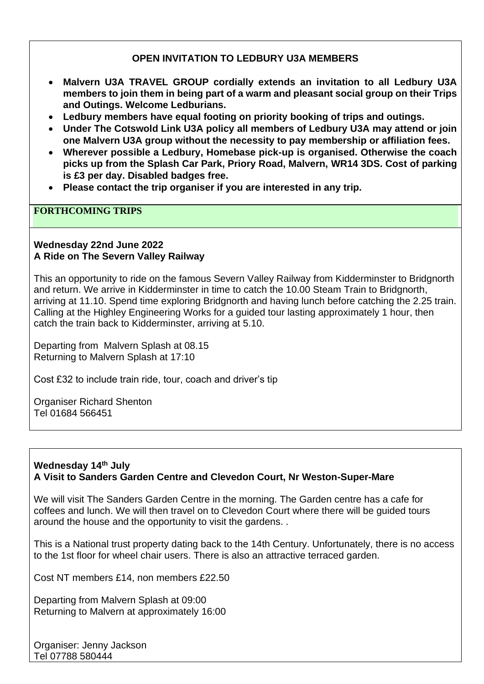### **OPEN INVITATION TO LEDBURY U3A MEMBERS**

- **Malvern U3A TRAVEL GROUP cordially extends an invitation to all Ledbury U3A members to join them in being part of a warm and pleasant social group on their Trips and Outings. Welcome Ledburians.**
- **Ledbury members have equal footing on priority booking of trips and outings.**
- **Under The Cotswold Link U3A policy all members of Ledbury U3A may attend or join one Malvern U3A group without the necessity to pay membership or affiliation fees.**
- **Wherever possible a Ledbury, Homebase pick-up is organised. Otherwise the coach picks up from the Splash Car Park, Priory Road, Malvern, WR14 3DS. Cost of parking is £3 per day. Disabled badges free.**
- **Please contact the trip organiser if you are interested in any trip.**

# **FORTHCOMING TRIPS**

#### **Wednesday 22nd June 2022 A Ride on The Severn Valley Railway**

This an opportunity to ride on the famous Severn Valley Railway from Kidderminster to Bridgnorth and return. We arrive in Kidderminster in time to catch the 10.00 Steam Train to Bridgnorth, arriving at 11.10. Spend time exploring Bridgnorth and having lunch before catching the 2.25 train. Calling at the Highley Engineering Works for a guided tour lasting approximately 1 hour, then catch the train back to Kidderminster, arriving at 5.10.

Departing from Malvern Splash at 08.15 Returning to Malvern Splash at 17:10

Cost £32 to include train ride, tour, coach and driver's tip

Organiser Richard Shenton Tel 01684 566451

### **Wednesday 14th July A Visit to Sanders Garden Centre and Clevedon Court, Nr Weston-Super-Mare**

We will visit The Sanders Garden Centre in the morning. The Garden centre has a cafe for coffees and lunch. We will then travel on to Clevedon Court where there will be guided tours around the house and the opportunity to visit the gardens. .

This is a National trust property dating back to the 14th Century. Unfortunately, there is no access to the 1st floor for wheel chair users. There is also an attractive terraced garden.

Cost NT members £14, non members £22.50

Departing from Malvern Splash at 09:00 Returning to Malvern at approximately 16:00

Organiser: Jenny Jackson Tel 07788 580444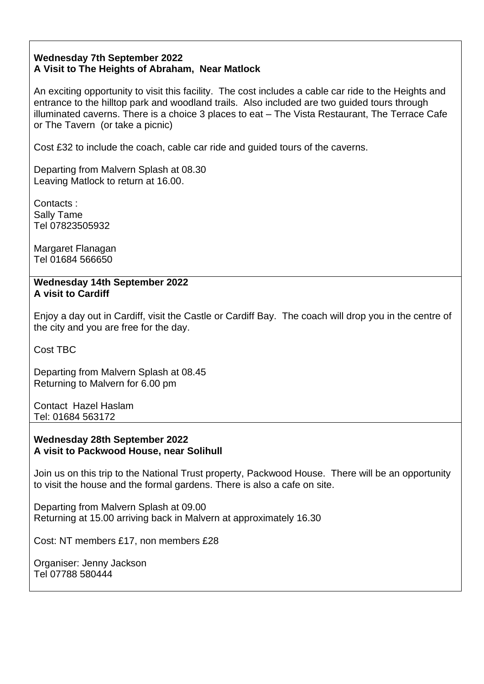## **Wednesday 7th September 2022 A Visit to The Heights of Abraham, Near Matlock**

An exciting opportunity to visit this facility. The cost includes a cable car ride to the Heights and entrance to the hilltop park and woodland trails. Also included are two guided tours through illuminated caverns. There is a choice 3 places to eat – The Vista Restaurant, The Terrace Cafe or The Tavern (or take a picnic)

Cost £32 to include the coach, cable car ride and guided tours of the caverns.

Departing from Malvern Splash at 08.30 Leaving Matlock to return at 16.00.

Contacts : Sally Tame Tel 07823505932

Margaret Flanagan Tel 01684 566650

**Wednesday 14th September 2022 A visit to Cardiff**

Enjoy a day out in Cardiff, visit the Castle or Cardiff Bay. The coach will drop you in the centre of the city and you are free for the day.

Cost TBC

Departing from Malvern Splash at 08.45 Returning to Malvern for 6.00 pm

Contact Hazel Haslam Tel: 01684 563172

#### **Wednesday 28th September 2022 A visit to Packwood House, near Solihull**

Join us on this trip to the National Trust property, Packwood House. There will be an opportunity to visit the house and the formal gardens. There is also a cafe on site.

Departing from Malvern Splash at 09.00 Returning at 15.00 arriving back in Malvern at approximately 16.30

Cost: NT members £17, non members £28

Organiser: Jenny Jackson Tel 07788 580444